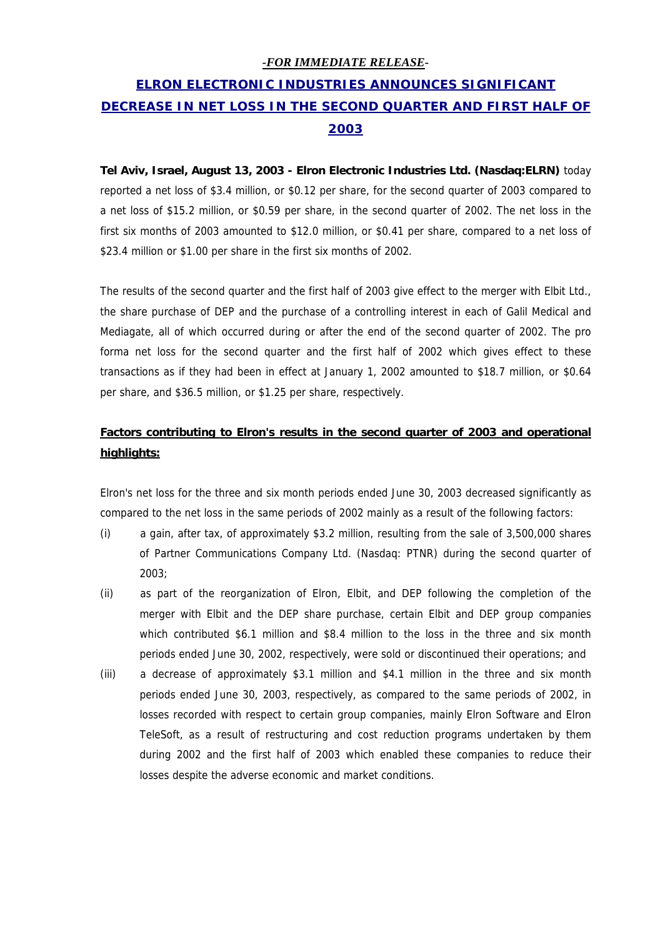## *-FOR IMMEDIATE RELEASE-*

# *ELRON ELECTRONIC INDUSTRIES ANNOUNCES SIGNIFICANT*  **DECREASE IN NET LOSS IN THE SECOND QUARTER AND FIRST HALF OF** *2003*

**Tel Aviv, Israel, August 13, 2003 - Elron Electronic Industries Ltd. (Nasdaq:ELRN)** today reported a net loss of \$3.4 million, or \$0.12 per share, for the second quarter of 2003 compared to a net loss of \$15.2 million, or \$0.59 per share, in the second quarter of 2002. The net loss in the first six months of 2003 amounted to \$12.0 million, or \$0.41 per share, compared to a net loss of \$23.4 million or \$1.00 per share in the first six months of 2002.

The results of the second quarter and the first half of 2003 give effect to the merger with Elbit Ltd., the share purchase of DEP and the purchase of a controlling interest in each of Galil Medical and Mediagate, all of which occurred during or after the end of the second quarter of 2002. The pro forma net loss for the second quarter and the first half of 2002 which gives effect to these transactions as if they had been in effect at January 1, 2002 amounted to \$18.7 million, or \$0.64 per share, and \$36.5 million, or \$1.25 per share, respectively.

# **Factors contributing to Elron's results in the second quarter of 2003 and operational highlights:**

Elron's net loss for the three and six month periods ended June 30, 2003 decreased significantly as compared to the net loss in the same periods of 2002 mainly as a result of the following factors:

- (i) a gain, after tax, of approximately \$3.2 million, resulting from the sale of 3,500,000 shares of Partner Communications Company Ltd. (Nasdaq: PTNR) during the second quarter of 2003;
- (ii) as part of the reorganization of Elron, Elbit, and DEP following the completion of the merger with Elbit and the DEP share purchase, certain Elbit and DEP group companies which contributed \$6.1 million and \$8.4 million to the loss in the three and six month periods ended June 30, 2002, respectively, were sold or discontinued their operations; and
- (iii) a decrease of approximately \$3.1 million and \$4.1 million in the three and six month periods ended June 30, 2003, respectively, as compared to the same periods of 2002, in losses recorded with respect to certain group companies, mainly Elron Software and Elron TeleSoft, as a result of restructuring and cost reduction programs undertaken by them during 2002 and the first half of 2003 which enabled these companies to reduce their losses despite the adverse economic and market conditions.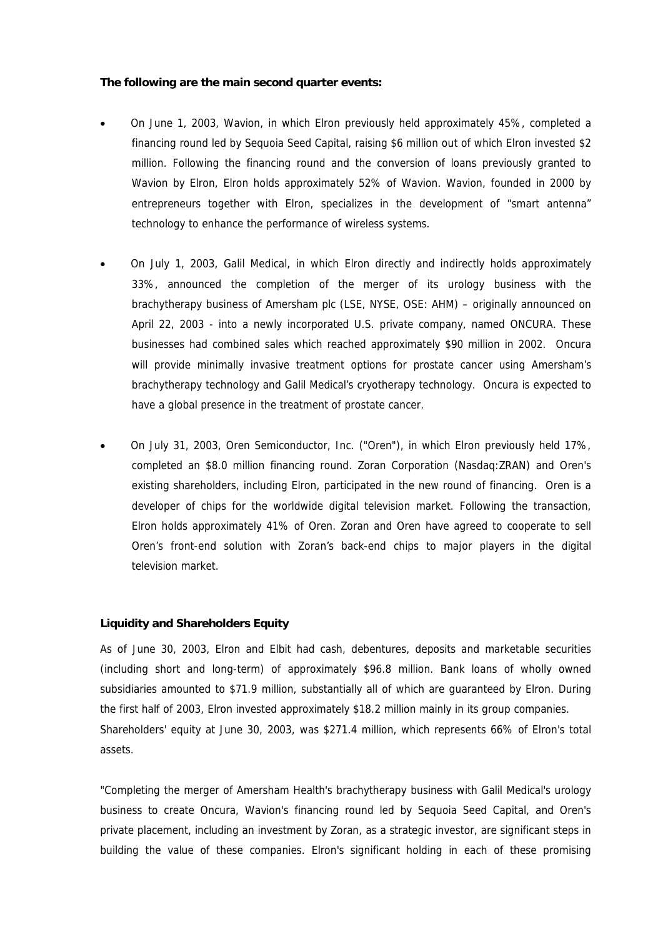#### **The following are the main second quarter events:**

- On June 1, 2003, Wavion, in which Elron previously held approximately 45%, completed a financing round led by Sequoia Seed Capital, raising \$6 million out of which Elron invested \$2 million. Following the financing round and the conversion of loans previously granted to Wavion by Elron, Elron holds approximately 52% of Wavion. Wavion, founded in 2000 by entrepreneurs together with Elron, specializes in the development of "smart antenna" technology to enhance the performance of wireless systems.
- On July 1, 2003, Galil Medical, in which Elron directly and indirectly holds approximately 33%, announced the completion of the merger of its urology business with the brachytherapy business of Amersham plc (LSE, NYSE, OSE: AHM) – originally announced on April 22, 2003 - into a newly incorporated U.S. private company, named ONCURA. These businesses had combined sales which reached approximately \$90 million in 2002. Oncura will provide minimally invasive treatment options for prostate cancer using Amersham's brachytherapy technology and Galil Medical's cryotherapy technology. Oncura is expected to have a global presence in the treatment of prostate cancer.
- On July 31, 2003, Oren Semiconductor, Inc. ("Oren"), in which Elron previously held 17%, completed an \$8.0 million financing round. Zoran Corporation (Nasdaq:ZRAN) and Oren's existing shareholders, including Elron, participated in the new round of financing. Oren is a developer of chips for the worldwide digital television market. Following the transaction, Elron holds approximately 41% of Oren. Zoran and Oren have agreed to cooperate to sell Oren's front-end solution with Zoran's back-end chips to major players in the digital television market.

#### **Liquidity and Shareholders Equity**

As of June 30, 2003, Elron and Elbit had cash, debentures, deposits and marketable securities (including short and long-term) of approximately \$96.8 million. Bank loans of wholly owned subsidiaries amounted to \$71.9 million, substantially all of which are guaranteed by Elron. During the first half of 2003, Elron invested approximately \$18.2 million mainly in its group companies. Shareholders' equity at June 30, 2003, was \$271.4 million, which represents 66% of Elron's total assets.

"Completing the merger of Amersham Health's brachytherapy business with Galil Medical's urology business to create Oncura, Wavion's financing round led by Sequoia Seed Capital, and Oren's private placement, including an investment by Zoran, as a strategic investor, are significant steps in building the value of these companies. Elron's significant holding in each of these promising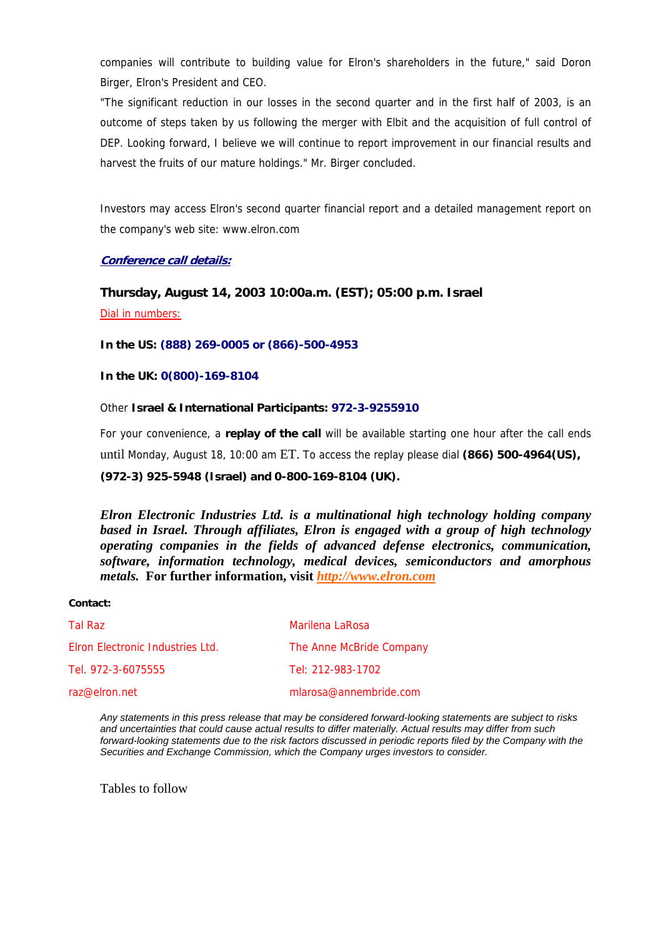companies will contribute to building value for Elron's shareholders in the future," said Doron Birger, Elron's President and CEO.

"The significant reduction in our losses in the second quarter and in the first half of 2003, is an outcome of steps taken by us following the merger with Elbit and the acquisition of full control of DEP. Looking forward, I believe we will continue to report improvement in our financial results and harvest the fruits of our mature holdings." Mr. Birger concluded.

Investors may access Elron's second quarter financial report and a detailed management report on the company's web site: [www.elron.com](http://www.elron.com/)

### **Conference call details:**

**Thursday, August 14, 2003 10:00a.m. (EST); 05:00 p.m. Israel** Dial in numbers:

**In the US: (888) 269-0005 or (866)-500-4953**

**In the UK: 0(800)-169-8104**

### Other **Israel & International Participants: 972-3-9255910**

For your convenience, a **replay of the call** will be available starting one hour after the call ends until Monday, August 18, 10:00 am ET. To access the replay please dial **(866) 500-4964(US),** 

### **(972-3) 925-5948 (Israel) and 0-800-169-8104 (UK).**

*Elron Electronic Industries Ltd. is a multinational high technology holding company based in Israel. Through affiliates, Elron is engaged with a group of high technology operating companies in the fields of advanced defense electronics, communication, software, information technology, medical devices, semiconductors and amorphous metals.* **For further information, visit** *[http://www.elron.com](http://www.elron.com/)*

#### **Contact:**

| Tal Razi                         | Marilena LaRosa          |
|----------------------------------|--------------------------|
| Elron Electronic Industries Ltd. | The Anne McBride Company |
| Tel. 972-3-6075555               | Tel: 212-983-1702        |
| raz@elron.net                    | mlarosa@annembride.com   |

*Any statements in this press release that may be considered forward-looking statements are subject to risks and uncertainties that could cause actual results to differ materially. Actual results may differ from such forward-looking statements due to the risk factors discussed in periodic reports filed by the Company with the Securities and Exchange Commission, which the Company urges investors to consider.* 

Tables to follow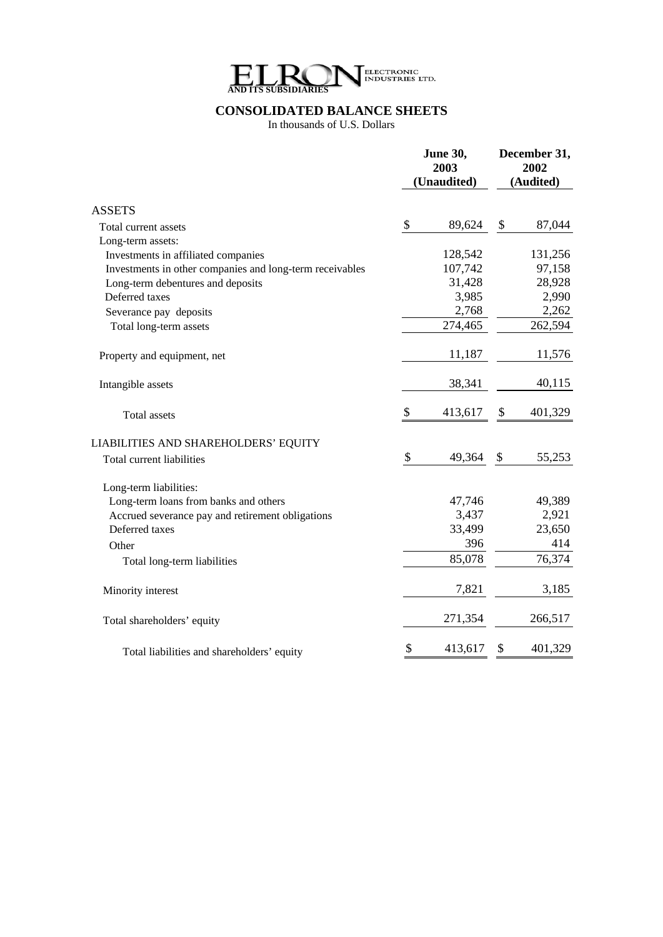

# **CONSOLIDATED BALANCE SHEETS**

In thousands of U.S. Dollars

|                                                          | <b>June 30,</b><br>2003 | December 31,<br>2002 |           |  |
|----------------------------------------------------------|-------------------------|----------------------|-----------|--|
|                                                          | (Unaudited)             |                      | (Audited) |  |
| <b>ASSETS</b>                                            |                         |                      |           |  |
| Total current assets                                     | \$<br>89,624            | \$                   | 87,044    |  |
| Long-term assets:                                        |                         |                      |           |  |
| Investments in affiliated companies                      | 128,542                 |                      | 131,256   |  |
| Investments in other companies and long-term receivables | 107,742                 |                      | 97,158    |  |
| Long-term debentures and deposits                        | 31,428                  |                      | 28,928    |  |
| Deferred taxes                                           | 3,985                   |                      | 2,990     |  |
| Severance pay deposits                                   | 2,768                   |                      | 2,262     |  |
| Total long-term assets                                   | 274,465                 |                      | 262,594   |  |
| Property and equipment, net                              | 11,187                  |                      | 11,576    |  |
| Intangible assets                                        | 38,341                  |                      | 40,115    |  |
| Total assets                                             | \$<br>413,617           | \$                   | 401,329   |  |
| LIABILITIES AND SHAREHOLDERS' EQUITY                     |                         |                      |           |  |
| Total current liabilities                                | \$<br>49,364            | \$                   | 55,253    |  |
| Long-term liabilities:                                   |                         |                      |           |  |
| Long-term loans from banks and others                    | 47,746                  |                      | 49,389    |  |
| Accrued severance pay and retirement obligations         | 3,437                   |                      | 2,921     |  |
| Deferred taxes                                           | 33,499                  |                      | 23,650    |  |
| Other                                                    | 396                     |                      | 414       |  |
| Total long-term liabilities                              | 85,078                  |                      | 76,374    |  |
| Minority interest                                        | 7,821                   |                      | 3,185     |  |
| Total shareholders' equity                               | 271,354                 |                      | 266,517   |  |
| Total liabilities and shareholders' equity               | \$<br>413,617           | \$                   | 401,329   |  |